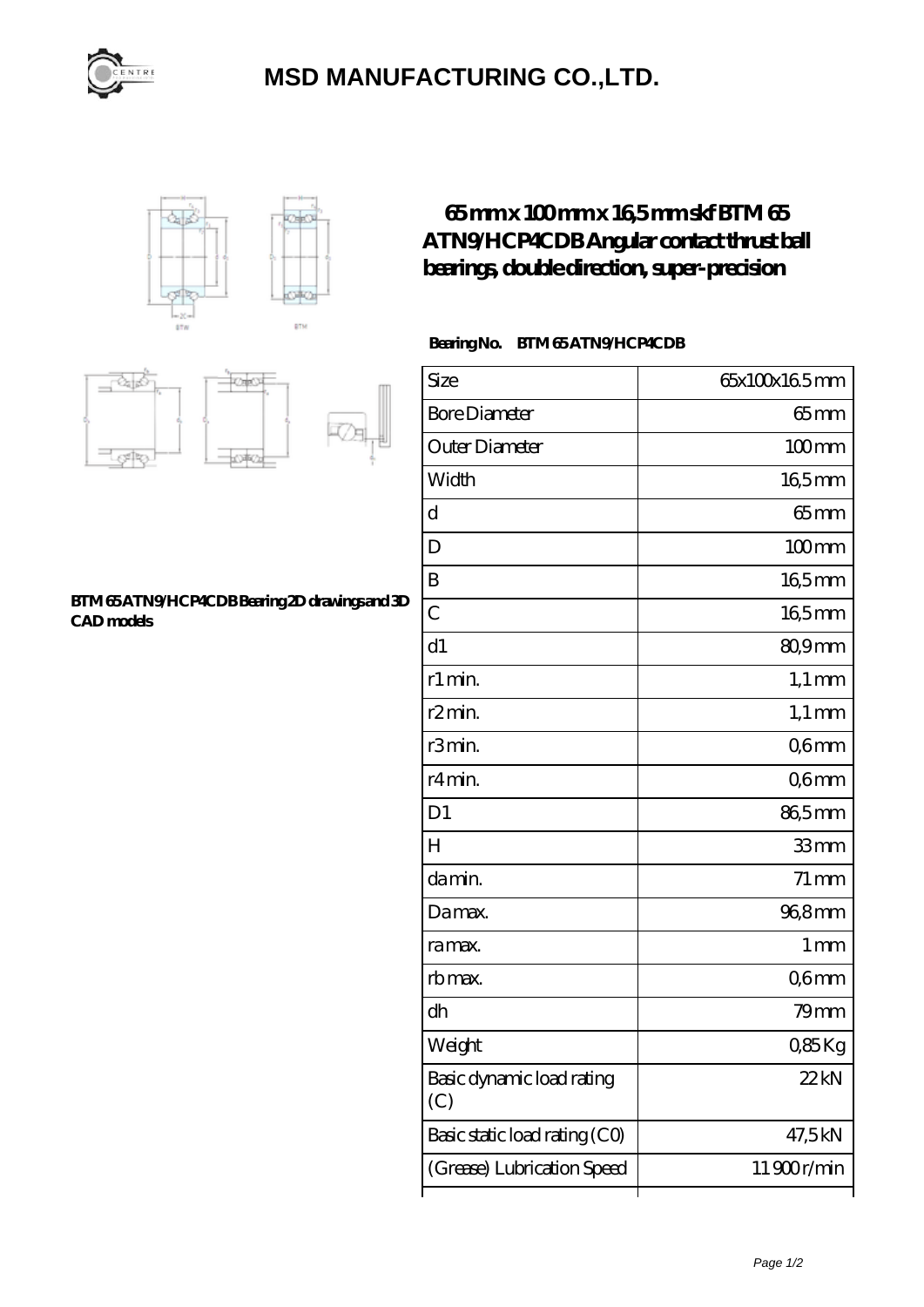

## **[MSD MANUFACTURING CO.,LTD.](https://voiture-de-course.com)**



### **[65 mm x 100 mm x 16,5 mm skf BTM 65](https://voiture-de-course.com/au-64942501-skf-btm-65-atn9-hcp4cdb-angular-contact-thrust-ball-bearings-double-direction-super-precision.html) [ATN9/HCP4CDB Angular contact thrust ball](https://voiture-de-course.com/au-64942501-skf-btm-65-atn9-hcp4cdb-angular-contact-thrust-ball-bearings-double-direction-super-precision.html) [bearings, double direction, super-precision](https://voiture-de-course.com/au-64942501-skf-btm-65-atn9-hcp4cdb-angular-contact-thrust-ball-bearings-double-direction-super-precision.html)**

#### **Bearing No. BTM 65 ATN9/HCP4CDB**

| Size                             | 65x100x165mm        |
|----------------------------------|---------------------|
| <b>Bore Diameter</b>             | $65$ mm             |
| Outer Diameter                   | $100$ mm            |
| Width                            | 165mm               |
| d                                | $65$ mm             |
| D                                | $100$ <sub>mm</sub> |
| B                                | $165$ mm            |
| $\overline{C}$                   | $165$ mm            |
| d1                               | 80,9mm              |
| r1 min.                          | $1,1 \text{ mm}$    |
| r <sub>2</sub> min.              | $1,1 \text{ mm}$    |
| r3min.                           | Q6mm                |
| r4 min.                          | Q6mm                |
| D1                               | 86,5mm              |
| H                                | 33mm                |
| da min.                          | $71 \,\mathrm{mm}$  |
| Damax.                           | 96,8mm              |
| ra max.                          | 1 <sub>mm</sub>     |
| rb max.                          | Q6mm                |
| dh                               | 79mm                |
| Weight                           | 085Kg               |
| Basic dynamic load rating<br>(C) | 22kN                |
| Basic static load rating (CO)    | 47,5kN              |
| (Grease) Lubrication Speed       | 11900r/min          |
|                                  |                     |

⊺



#### **[BTM 65 ATN9/HCP4CDB Bearing 2D drawings and 3D](https://voiture-de-course.com/pic-64942501.html) [CAD models](https://voiture-de-course.com/pic-64942501.html)**